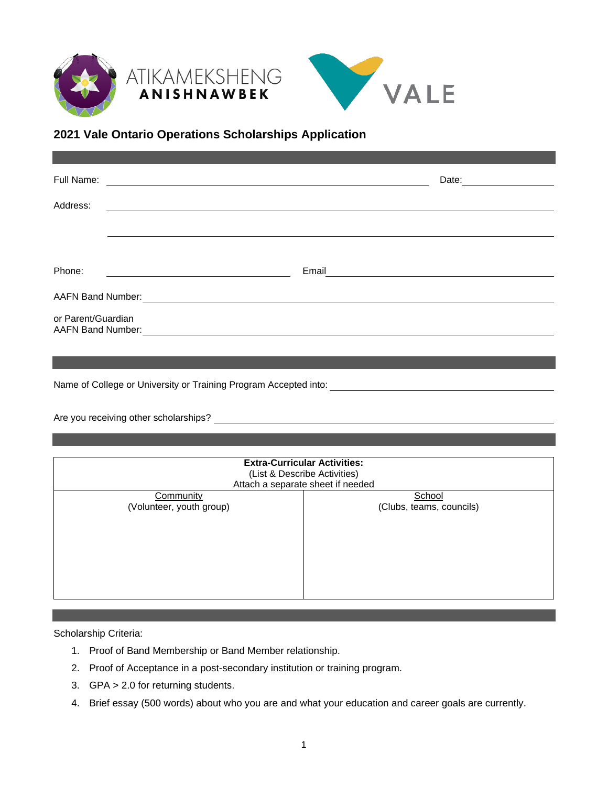



## **2021 Vale Ontario Operations Scholarships Application**

| Full Name:                                     |       | Date: |
|------------------------------------------------|-------|-------|
| Address:                                       |       |       |
|                                                |       |       |
|                                                |       |       |
| Phone:                                         | Email |       |
| AAFN Band Number:                              |       |       |
| or Parent/Guardian<br><b>AAFN Band Number:</b> |       |       |

Name of College or University or Training Program Accepted into:

Are you receiving other scholarships?

| <b>Extra-Curricular Activities:</b><br>(List & Describe Activities)<br>Attach a separate sheet if needed |                          |  |  |
|----------------------------------------------------------------------------------------------------------|--------------------------|--|--|
| Community                                                                                                | School                   |  |  |
| (Volunteer, youth group)                                                                                 | (Clubs, teams, councils) |  |  |

Scholarship Criteria:

- 1. Proof of Band Membership or Band Member relationship.
- 2. Proof of Acceptance in a post-secondary institution or training program.
- 3. GPA > 2.0 for returning students.
- 4. Brief essay (500 words) about who you are and what your education and career goals are currently.